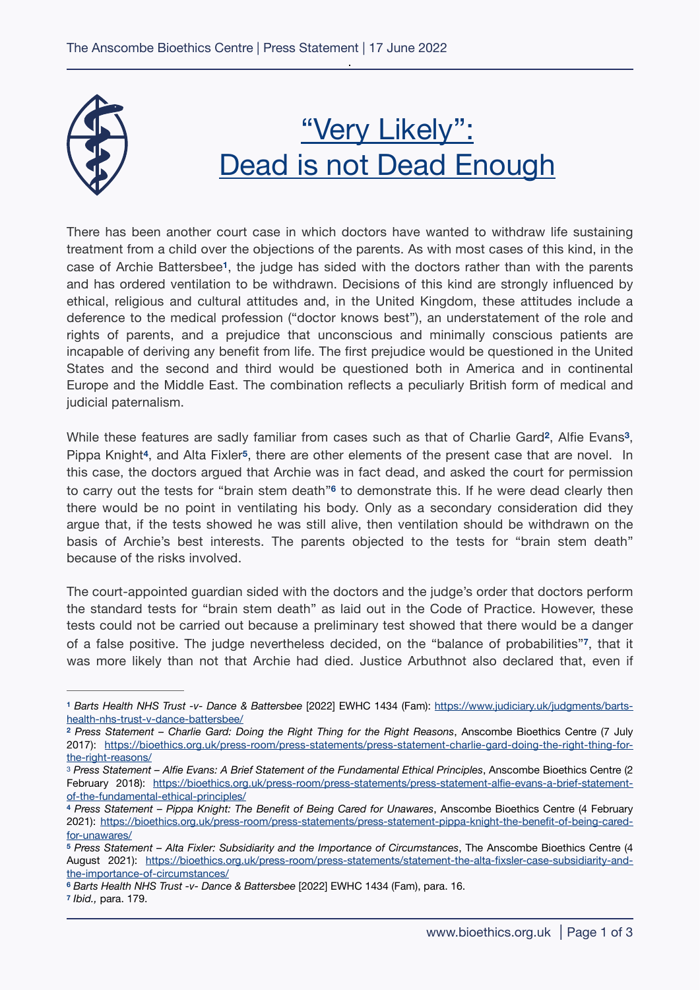

## <span id="page-0-9"></span><span id="page-0-8"></span><span id="page-0-7"></span>"Very Likely": Dead is not Dead Enough

There has been another court case in which doctors have wanted to withdraw life sustaining treatment from a child over the objections of the parents. As with most cases of this kind, in the case of Archie Battersbee<sup>[1](#page-0-0)</sup>, the judge has sided with the doctors rather than with the parents and has ordered ventilation to be withdrawn. Decisions of this kind are strongly influenced by ethical, religious and cultural attitudes and, in the United Kingdom, these attitudes include a deference to the medical profession ("doctor knows best"), an understatement of the role and rights of parents, and a prejudice that unconscious and minimally conscious patients are incapable of deriving any benefit from life. The first prejudice would be questioned in the United States and the second and third would be questioned both in America and in continental Europe and the Middle East. The combination reflects a peculiarly British form of medical and judicial paternalism.

<span id="page-0-12"></span><span id="page-0-11"></span><span id="page-0-10"></span>While these features are sadly familiar from cases such as that of Charlie Gard<sup>[2](#page-0-1)</sup>, Alfie Evans<sup>[3](#page-0-2)</sup>, Pippa Knight<sup>[4](#page-0-3)</sup>, and Alta Fixler<sup>[5](#page-0-4)</sup>, there are other elements of the present case that are novel. In this case, the doctors argued that Archie was in fact dead, and asked the court for permission tocarry out the tests for "brain stem death"<sup>6</sup> to demonstrate this. If he were dead clearly then there would be no point in ventilating his body. Only as a secondary consideration did they argue that, if the tests showed he was still alive, then ventilation should be withdrawn on the basis of Archie's best interests. The parents objected to the tests for "brain stem death" because of the risks involved.

<span id="page-0-13"></span>The court-appointed guardian sided with the doctors and the judge's order that doctors perform the standard tests for "brain stem death" as laid out in the Code of Practice. However, these tests could not be carried out because a preliminary test showed that there would be a danger of a false positive. The judge nevertheless decided, on the "balance of probabilities"<sup>[7](#page-0-6)</sup>, that it was more likely than not that Archie had died. Justice Arbuthnot also declared that, even if

<span id="page-0-0"></span>*Barts Health NHS Trust -v- Dance & Battersbee* [2022] EWHC 1434 (Fam): [https://www.judiciary.uk/judgments/barts-](https://www.judiciary.uk/judgments/barts-health-nhs-trust-v-dance-battersbee/) **[1](#page-0-7)** [health-nhs-trust-v-dance-battersbee/](https://www.judiciary.uk/judgments/barts-health-nhs-trust-v-dance-battersbee/)

<span id="page-0-1"></span>*Press Statement – Charlie Gard: Doing the Right Thing for the Right Reasons*, Anscombe Bioethics Centre (7 July **[2](#page-0-8)** 2017): [https://bioethics.org.uk/press-room/press-statements/press-statement-charlie-gard-doing-the-right-thing-for](https://bioethics.org.uk/press-room/press-statements/press-statement-charlie-gard-doing-the-right-thing-for-the-right-reasons/)[the-right-reasons/](https://bioethics.org.uk/press-room/press-statements/press-statement-charlie-gard-doing-the-right-thing-for-the-right-reasons/)

<span id="page-0-2"></span><sup>&</sup>lt;sup>[3](#page-0-9)</sup> Press Statement – Alfie Evans: A Brief Statement of the Fundamental Ethical Principles, Anscombe Bioethics Centre (2 February 2018): [https://bioethics.org.uk/press-room/press-statements/press-statement-alfie-evans-a-brief-statement](https://bioethics.org.uk/press-room/press-statements/press-statement-alfie-evans-a-brief-statement-of-the-fundamental-ethical-principles/)[of-the-fundamental-ethical-principles/](https://bioethics.org.uk/press-room/press-statements/press-statement-alfie-evans-a-brief-statement-of-the-fundamental-ethical-principles/)

<span id="page-0-3"></span>*Press Statement – Pippa Knight: The Benefit of Being Cared for Unawares*, Anscombe Bioethics Centre (4 February **[4](#page-0-10)** 2021): [https://bioethics.org.uk/press-room/press-statements/press-statement-pippa-knight-the-benefit-of-being-cared](https://bioethics.org.uk/press-room/press-statements/press-statement-pippa-knight-the-benefit-of-being-cared-for-unawares/)[for-unawares/](https://bioethics.org.uk/press-room/press-statements/press-statement-pippa-knight-the-benefit-of-being-cared-for-unawares/)

<span id="page-0-4"></span>*Press Statement – Alta Fixler: Subsidiarity and the Importance of Circumstances*, The Anscombe Bioethics Centre (4 **[5](#page-0-11)** August 2021): [https://bioethics.org.uk/press-room/press-statements/statement-the-alta-fixsler-case-subsidiarity-and](https://bioethics.org.uk/press-room/press-statements/statement-the-alta-fixsler-case-subsidiarity-and-the-importance-of-circumstances/)[the-importance-of-circumstances/](https://bioethics.org.uk/press-room/press-statements/statement-the-alta-fixsler-case-subsidiarity-and-the-importance-of-circumstances/)

<span id="page-0-5"></span>*Barts Health NHS Trust -v- Dance & Battersbee* [2022] EWHC 1434 (Fam), para. 16. **[6](#page-0-12)**

<span id="page-0-6"></span>*Ibid.,* para. 179. **[7](#page-0-13)**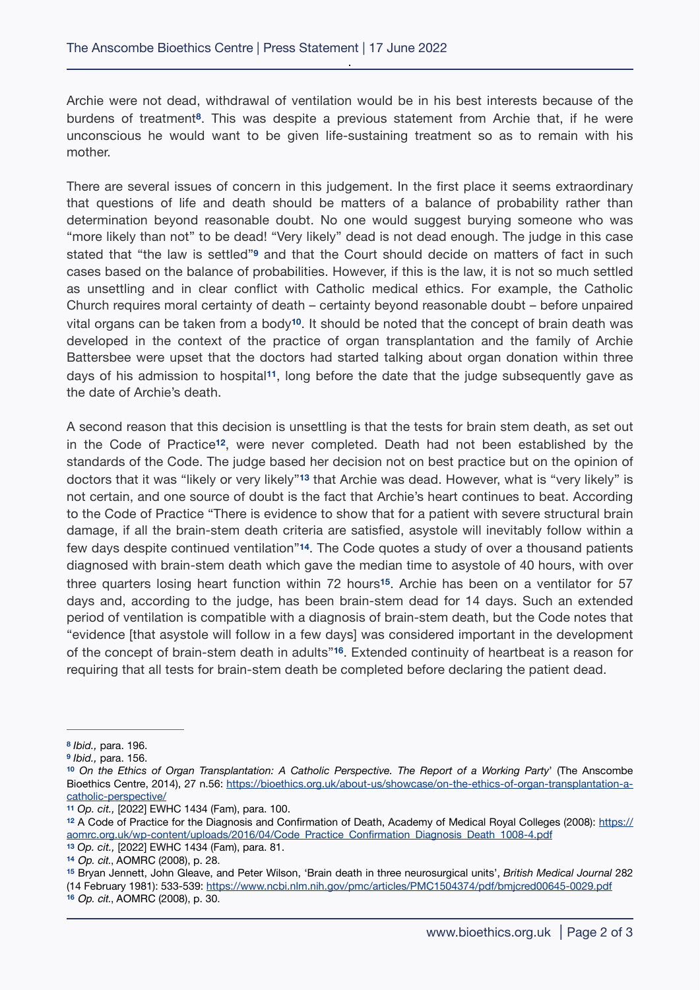<span id="page-1-9"></span>Archie were not dead, withdrawal of ventilation would be in his best interests because of the burdens of treatment<sup>[8](#page-1-0)</sup>. This was despite a previous statement from Archie that, if he were unconscious he would want to be given life-sustaining treatment so as to remain with his mother.

<span id="page-1-10"></span>There are several issues of concern in this judgement. In the first place it seems extraordinary that questions of life and death should be matters of a balance of probability rather than determination beyond reasonable doubt. No one would suggest burying someone who was "more likely than not" to be dead! "Very likely" dead is not dead enough. The judge in this case statedthat "the law is settled"<sup>9</sup> and that the Court should decide on matters of fact in such cases based on the balance of probabilities. However, if this is the law, it is not so much settled as unsettling and in clear conflict with Catholic medical ethics. For example, the Catholic Church requires moral certainty of death – certainty beyond reasonable doubt – before unpaired vital organs can be taken from a body<sup>[10](#page-1-2)</sup>. It should be noted that the concept of brain death was developed in the context of the practice of organ transplantation and the family of Archie Battersbee were upset that the doctors had started talking about organ donation within three days of his admission to hospital<sup>[11](#page-1-3)</sup>, long before the date that the judge subsequently gave as the date of Archie's death.

<span id="page-1-16"></span><span id="page-1-15"></span><span id="page-1-14"></span><span id="page-1-13"></span><span id="page-1-12"></span><span id="page-1-11"></span>A second reason that this decision is unsettling is that the tests for brain stem death, as set out in the Code of Practice<sup>[12](#page-1-4)</sup>, were never completed. Death had not been established by the standards of the Code. The judge based her decision not on best practice but on the opinion of doctors that it was "likely or very likely"<sup>13</sup> that Archie was dead. However, what is "very likely" is not certain, and one source of doubt is the fact that Archie's heart continues to beat. According to the Code of Practice "There is evidence to show that for a patient with severe structural brain damage, if all the brain-stem death criteria are satisfied, asystole will inevitably follow within a few days despite continued ventilation<sup>"[14](#page-1-6)</sup>. The Code quotes a study of over a thousand patients diagnosed with brain-stem death which gave the median time to asystole of 40 hours, with over three quarters losing heart function within 72 hours<sup>[15](#page-1-7)</sup>. Archie has been on a ventilator for 57 days and, according to the judge, has been brain-stem dead for 14 days. Such an extended period of ventilation is compatible with a diagnosis of brain-stem death, but the Code notes that "evidence [that asystole will follow in a few days] was considered important in the development of the concept of brain-stem death in adults<sup>"[16](#page-1-8)</sup>. Extended continuity of heartbeat is a reason for requiring that all tests for brain-stem death be completed before declaring the patient dead.

<span id="page-1-8"></span>*Op. cit.*, AOMRC (2008), p. 30. **[16](#page-1-17)**

<span id="page-1-17"></span><span id="page-1-0"></span>*Ibid.,* para. 196. **[8](#page-1-9)**

<span id="page-1-1"></span>*Ibid.,* para. 156. **[9](#page-1-10)**

<span id="page-1-2"></span>*On the Ethics of Organ Transplantation: A Catholic Perspective. The Report of a Working Party*' (The Anscombe **[10](#page-1-11)** Bioethics Centre, 2014), 27 n.56: [https://bioethics.org.uk/about-us/showcase/on-the-ethics-of-organ-transplantation-a](https://bioethics.org.uk/about-us/showcase/on-the-ethics-of-organ-transplantation-a-catholic-perspective/)[catholic-perspective/](https://bioethics.org.uk/about-us/showcase/on-the-ethics-of-organ-transplantation-a-catholic-perspective/)

<span id="page-1-3"></span>*Op. cit.,* [2022] EWHC 1434 (Fam), para. 100. **[11](#page-1-12)**

<span id="page-1-4"></span>A Code of Practice for the Diagnosis and Confirmation of Death, Academy of Medical Royal Colleges (2008): [https://](https://aomrc.org.uk/wp-content/uploads/2016/04/Code_Practice_Confirmation_Diagnosis_Death_1008-4.pdf) **[12](#page-1-13)** [aomrc.org.uk/wp-content/uploads/2016/04/Code\\_Practice\\_Confirmation\\_Diagnosis\\_Death\\_1008-4.pdf](https://aomrc.org.uk/wp-content/uploads/2016/04/Code_Practice_Confirmation_Diagnosis_Death_1008-4.pdf)

<span id="page-1-5"></span>*Op. cit.,* [2022] EWHC 1434 (Fam), para. 81. **[13](#page-1-14)**

<span id="page-1-6"></span>*Op. cit.*, AOMRC (2008), p. 28. **[14](#page-1-15)**

<span id="page-1-7"></span>[<sup>15</sup>](#page-1-16) Bryan Jennett, John Gleave, and Peter Wilson, 'Brain death in three neurosurgical units', *British Medical Journal* 282 (14 February 1981): 533-539: <https://www.ncbi.nlm.nih.gov/pmc/articles/PMC1504374/pdf/bmjcred00645-0029.pdf>